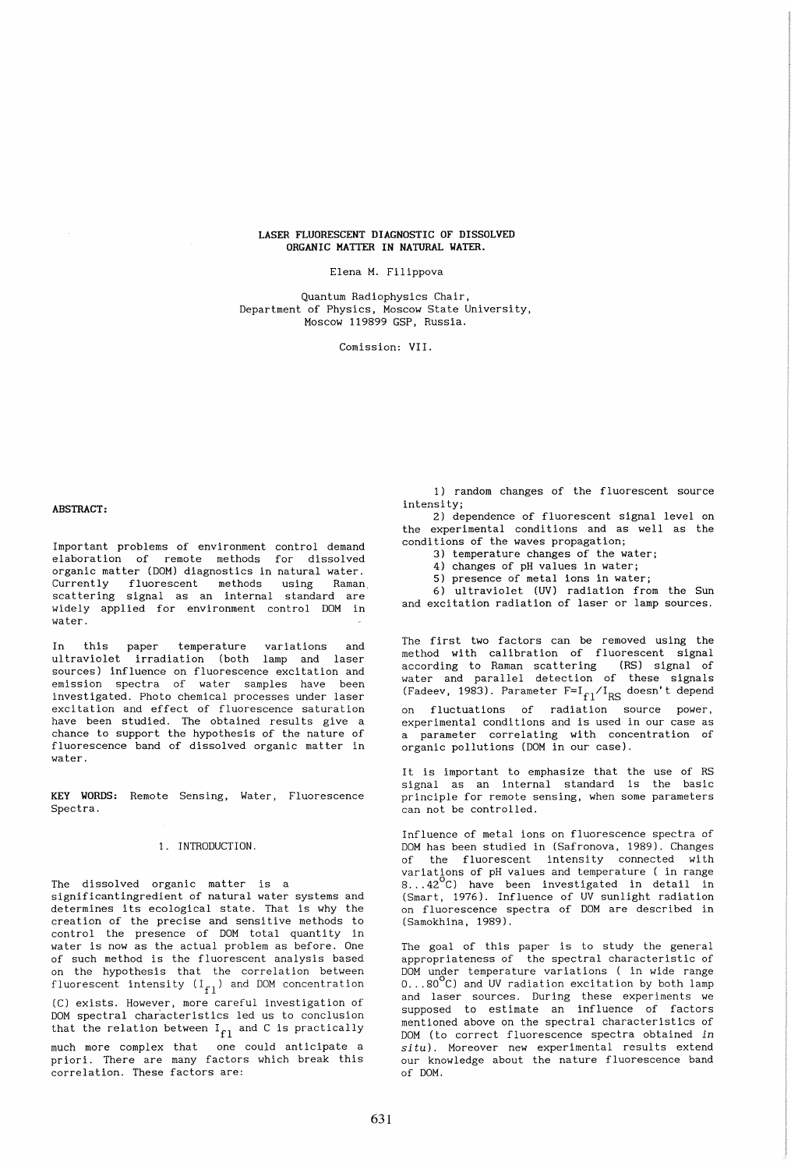## LASER FLUORESCENT DIAGNOSTIC OF DISSOLVED ORGANIC MATTER IN NATURAL WATER.

Elena M. Filippova

Quantum Radiophysics Chair, Department of Physics, Moscow State University, Moscow 119899 GSP, Russia.

Comission: VII.

#### ABSTRACT:

Important problems of environment control demand elaboration of remote methods for dissolved organic matter (DOM) diagnostics in natural water. Currently fluorescent methods using Raman, scattering signal as an internal standard are widely applied for environment control DOM in water.

In this paper temperature variations and ultraviolet irradiation (both lamp and laser sources) influence on fluorescence excitation and emission spectra of water samples have been investigated. Photo chemical processes under laser excitation and effect of fluorescence saturation have been studied. The obtained results give a chance to support the hypothesis of the nature of fluorescence band of dissolved organic matter in water.

KEY WORDS: Remote Sensing, Water, Fluorescence Spectra.

# 1. INTRODUCTION.

The dissolved organic matter is a significantingredient of natural water systems and determines its ecological state. That is why the creation of the precise and sensitive methods to control the presence of DOM total quantity in water is now as the actual problem as before. One of such method is the fluorescent analysis based on the hypothesis that the correlation between fluorescent intensity  $(I_{f1})$  and DOM concentration (C) exists. However, more careful investigation of DOM spectral characteristics led us to conclusion that the relation between  $I_{f1}$  and C is practically much more complex that one could anticipate a priori. There are many factors which break this correlation. These factors are:

1) random changes of the fluorescent source intensity;

2) dependence of fluorescent signal level on the experimental conditions and as well as the conditions of the waves propagation;

3) temperature changes of the water;

4) changes of pH values in water;

5) presence of metal ions in water;

6) ultraviolet (UV) radiation from the Sun and excitation radiation of laser or lamp sources.

The first two factors can be removed using the method with calibration of fluorescent signal according to Raman scattering (RS) signal of water and parallel detection of these signals (Fadeev, 1983). Parameter  $F = I_{f1}/I_{RS}$  doesn't depend on fluctuations of radiation source power, experimental conditions and is used in our case as a parameter correlating with concentration of organic pollutions (DOM in our case).

It is important to emphasize that the use of RS signal as an internal standard is the basic principle for remote sensing, when some parameters can not be controlled.

Influence of metal ions on fluorescence spectra of DOM has been studied in (Safronova, 1989). Changes of the fluorescent intensity connected with variations of pH values and temperature ( in range<br>8...42<sup>O</sup>C) have been investigated in detail in (Smart, 1976). Influence of UV sunlight radiation on fluorescence spectra of DOM are described in (Samokhina, 1989).

The goal of this paper is to study the general appropriateness of the spectral characteristic of DOM under temperature variations ( in wide range  $0 \ldots 80^{\circ}$ C) and UV radiation excitation by both lamp and laser sources. During these experiments we supposed to estimate an influence of factors mentioned above on the spectral characteristics of DOM (to correct fluorescence spectra obtained *in*  situ). Moreover new experimental results extend our knowledge about the nature fluorescence band of DOM.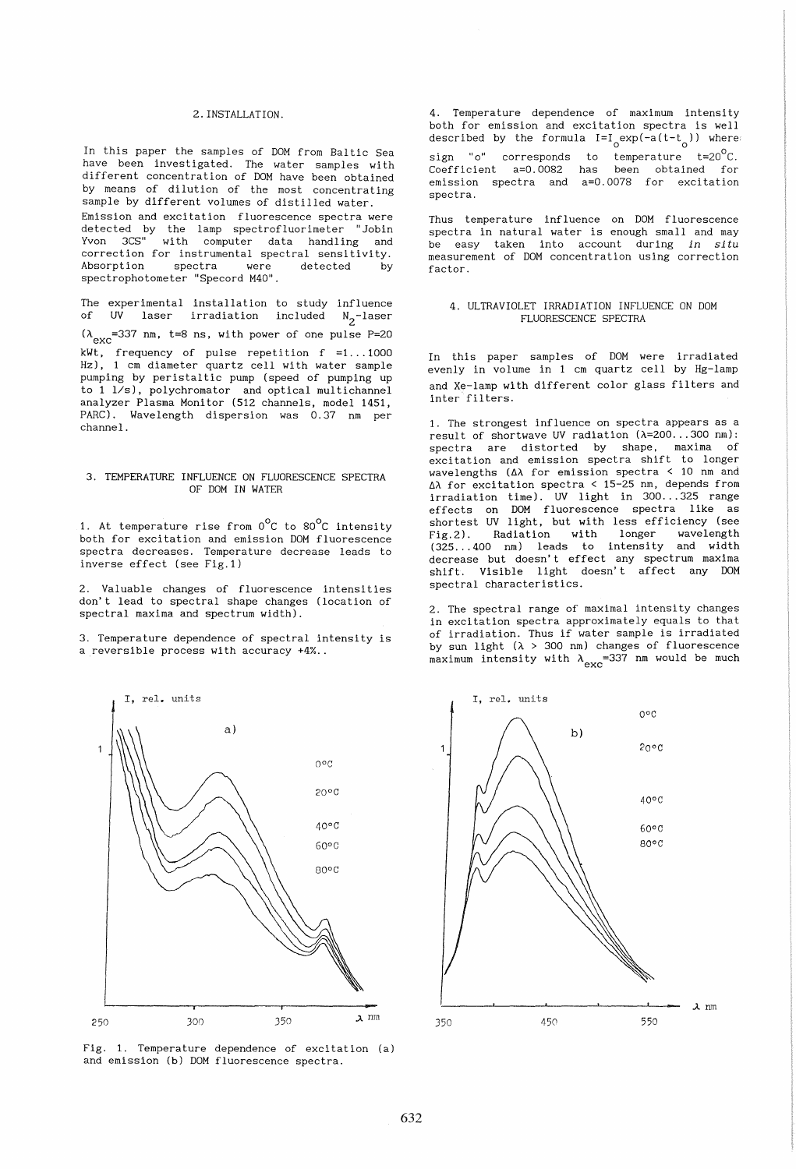### 2. INSTALLATION.

In this paper the samples of DOM from Baltic Sea have been investigated. The water samples with different concentration of DOM have been obtained by means of dilution of the most concentrating sample by different volumes of distilled water. Emission and excitation fluorescence spectra were detected by the lamp spectrofluorimeter "Jobin Yvon 3CS" with computer data handling and correction for instrumental spectral sensitivity. Absorption spectra were spectrophotometer "Specord M40".

The experimental installation to study influence of UV laser irradiation included N<sub>2</sub>-laser  $(\lambda_{\text{exc}}=337 \text{ nm}, t=8 \text{ ns}, \text{with power of one pulse P=20})$ kWt, frequency of pulse repetition f =1 ... 1000 Hz), 1 cm diameter quartz cell with water sample pumping by peristaltic pump (speed of pumping up to 1 *lis),* polychromator and optical multichannel analyzer Plasma Monitor (512 channels, model 1451, PARC). Wavelength dispersion was 0.37 nm per channel.

## 3. TEMPERATURE INFLUENCE ON FLUORESCENCE SPECTRA OF DOM IN WATER

1. At temperature rise from  $0^{\circ}$ C to  $80^{\circ}$ C intensity both for excitation and emission DOM fluorescence spectra decreases. Temperature decrease leads to inverse effect (see Fig.l)

2. Valuable changes of fluorescence intensities don't lead to spectral shape changes (location of spectral maxima and spectrum width).

3. Temperature dependence of spectral intensity is a reversible process with accuracy +4% ..



Fig. 1. Temperature dependence of excitation Ca) and emission (b) DOM fluorescence spectra.

4. Temperature dependence of maximum intensity both for emission and excitation spectra is well described by the formula  $I = I_0 \exp(-a(t-t_0))$  where:

sign "o" corresponds to temperature t=20 $^{\circ}$ C. Coefficient a=0.0082 has been obtained for emission spectra and a=0.0078 for excitation spectra.

Thus temperature influence on DOM fluorescence spectra in natural water is enough small and may be easy taken into account during *in situ*  measurement of DOM concentration using correction factor.

## 4. ULTRAVIOLET IRRADIATION INFLUENCE ON DOM FLUORESCENCE SPECTRA

In this paper samples of DOM were irradiated evenly in volume in 1 cm quartz cell by Hg-lamp and Xe-lamp with different color glass filters and inter filters.

1. The strongest influence on spectra appears as a result of shortwave UV radiation  $(\lambda=200...300)$  nm): spectra are distorted by shape, maxima of exci tation and emission spectra shift to longer wavelengths  $(\Delta \lambda)$  for emission spectra < 10 nm and ~A for excitation spectra < 15-25 nm, depends from irradiation time). UV light in 300 ... 325 range effects on DOM fluorescence spectra like as shortest UV light, but with less efficiency (see Fig. 2). Radiation with longer wavelength (325 ... 400 nm) leads to intensity and width decrease but doesn't effect any spectrum maxima shift. Visible light doesn't affect any DOM spectral characteristics.

2. The spectral range of maximal intensity changes in excitation spectra approximately equals to that of irradiation. Thus if water sample is irradiated by sun light  $(\lambda > 300 \text{ nm})$  changes of fluorescence maximum intensity with  $\lambda_{\text{exc}}$ =337 nm would be much

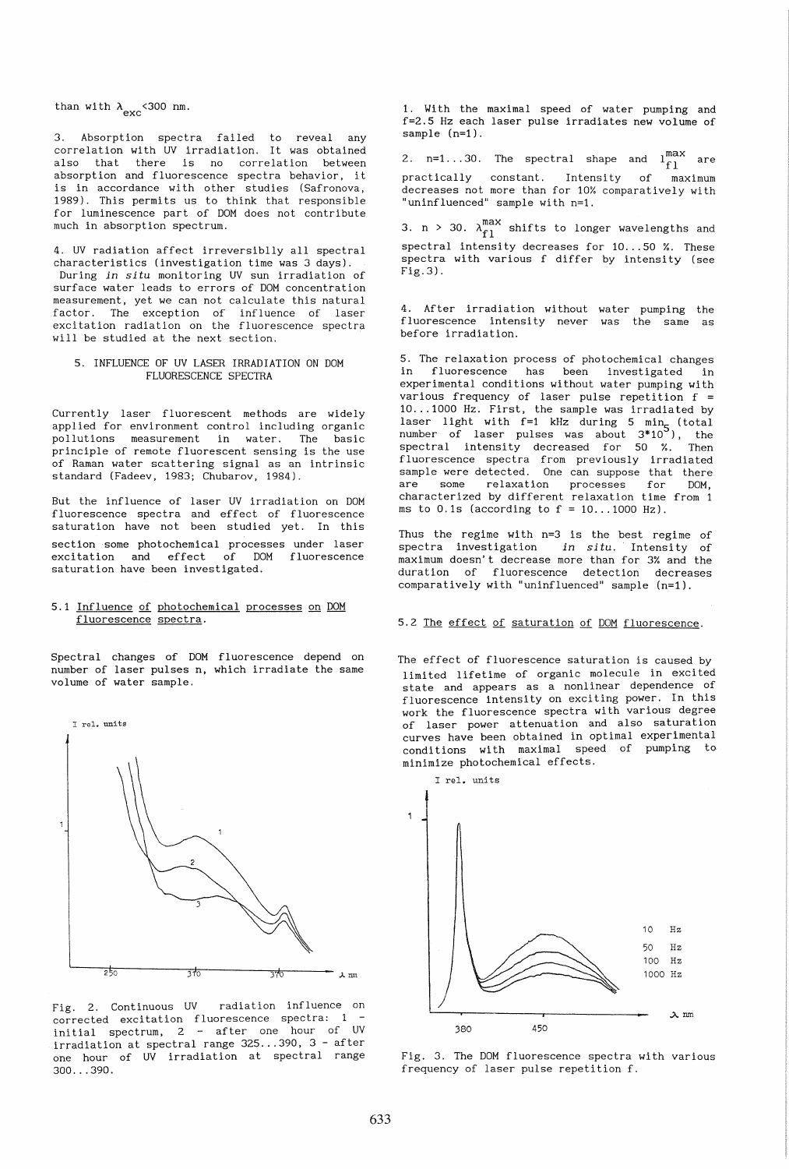than with  $\lambda_{\text{exc}}$  < 300 nm.

3. Absorption spectra failed to reveal any correlation with UV irradiation. It was obtained also that there is no correlation between absorption and fluorescence spectra behavior, it is in accordance with other studies (Safronova, 1989). This permits us to think that responsible for luminescence part of DOM does not contribute much in absorption spectrum.

4. UV radiation affect irreversiblly all spectral characteristics (investigation time was 3 days). During *in situ* monitoring UV sun irradiation of surface water leads to errors of DOM concentration measurement, yet we can not calculate this natural factor. The exception of influence of laser excitation radiation on the fluorescence spectra will be studied at the next section.

### 5. INFLUENCE OF UV LASER IRRADIATION ON DOM FLUORESCENCE SPECTRA

Currently laser fluorescent methods are widely applied for environment control including organic pollutions measurement in water. The basic principle of remote fluorescent sensing is the use of Raman water scattering signal as an intrinsic standard (Fadeev, 1983; Chubarov, 1984).

But the influence of laser UV irradiation on DOM fluorescence spectra and effect of fluorescence saturation have not been studied yet. In this section some photochemical processes under laser excitation and effect of DOM fluorescence saturation have been investigated.

# 5.1 Influence of photochemical processes on DOM fluorescence spectra.

Spectral changes of DOM fluorescence depend on number of laser pulses n, which irradiate the same volume of water sample.



Fig. 2. Continuous UV radiation influence on corrected excitation fluorescence spectra: 1 initial spectrum, 2 - after one hour of UV irradiation at spectral range 325 ... 390, 3 - after one hour of UV irradiation at spectral range  $300...390.$ 

1. With the maximal speed of water pumping and f=2.5 Hz each laser pulse irradiates new volume of sample  $(n=1)$ .

2.  $n=1...30$ . The spectral shape and  $\ln \frac{\text{max}}{\text{f1}}$  are practically constant. Intensity of maximum decreases not more than for 10% comparatively with "uninfluenced" sample with n=1.

3. n > 30.  $\lambda_{f1}^{\text{max}}$  shifts to longer wavelengths and spectral intensity decreases for 10...50 %. These spectra with various f differ by intensity (see Fig. 3).

4. After irradiation without water pumping the fluorescence intensity never was the same as before irradiation.

5. The relaxation process of photochemical changes in fluorescence has been investigated in experimental conditions without water pumping with various frequency of laser pulse repetition f = 10 ... 1000 Hz. First, the sample was irradiated by laser light with  $f=1$  kHz during 5 min (total number of laser pulses was about  $3*10^5$ ), the spectral intensity decreased for 50 %. Then fluorescence spectra from previously irradiated sample were detected. One can suppose that there are some relaxation processes for DOM, characterized by different relaxation time from 1 ms to  $0.1$ s (according to  $f = 10...1000$  Hz).

Thus the regime with n=3 is the best regime of spectra investigation *in situ.* Intensity of maximum doesn't decrease more than for 3% and the duration of fluorescence detection decreases comparatively with "uninfluenced" sample (n=1).

# 5.2 The effect of saturation of DOM fluorescence.

The effect of fluorescence saturation is caused by limited lifetime of organic molecule in excited state and appears as a nonlinear dependence of fluorescence intensity on exciting power. In this work the fluorescence spectra with various degree of laser power attenuation and also saturation curves have been obtained in optimal experimental conditions with maximal speed of pumping to minimize photochemical effects.



Fig. 3. The DOM fluorescence spectra with various frequency of laser pulse repetition f.